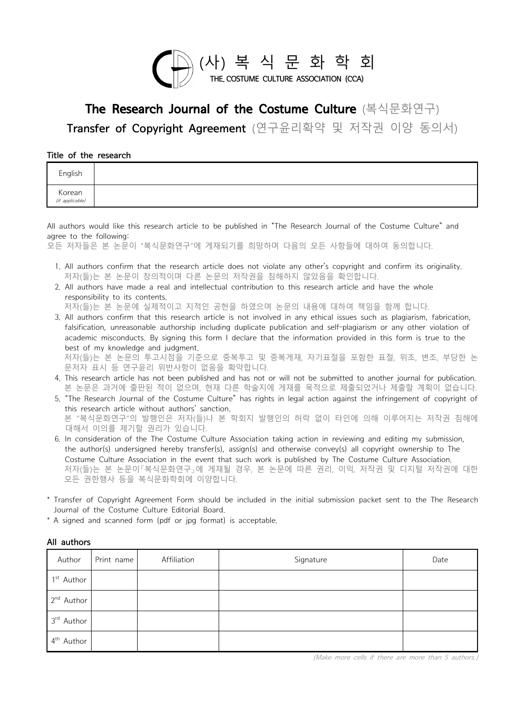

## The Research Journal of the Costume Culture (복식문화연구) The Research Journal of the Costume Culture (복식문화연구)<br>Transfer of Copyright Agreement (연구윤리확약 및 저작권 이양 동의서)<br>of the research

## Title of the research

| English                   |                                                                                                                   |  |  |  |  |
|---------------------------|-------------------------------------------------------------------------------------------------------------------|--|--|--|--|
| Korean<br>(if applicable) |                                                                                                                   |  |  |  |  |
|                           | All authors would like this research article to be published in "The Research Journal of the Costume Culture" and |  |  |  |  |
| agree to the following:   |                                                                                                                   |  |  |  |  |
|                           | 모든 저자들은 본 논문이 "복식문화연구"에 게재되기를 희망하며 다음의 모든 사항들에 대하여 동의합니다.                                                         |  |  |  |  |

All authors would like this research article to be published in "The Research Journal of the Costume Culture" and<br>agree to the following: All authors would like this research article to be published in "The Research Journal of the Costume Culture" and<br>agree to the following:<br>모든 저자들은 본 논문이 "복식문화연구"에 게재되기를 희망하며 다음의 모든 사항들에 대하여 동의합니다.<br>1. All authors confirm th

- 저자(들)는 본 논문이 창의적이며 다른 논문의 저작권을 침해하지 않았음을 확인합니다. ggice to the exert of "복식문화연구"에 게재되기를 희망하며 다음의 모든 사항들에 대하여 동의합니다.<br>모든 저자들은 본 논문이 "복식문화연구"에 게재되기를 희망하며 다음의 모든 사항들에 대하여 동의합니다.<br>저자(들)는 본 논문이 창의적이며 다른 논문의 저작권을 침해하지 않았음을 확인합니다.<br>2. All authors have made a real and intellectual
	- 제제물로 모르의 크게리라이<br>제자(들)는 본 논문이 창의적이며 다른<br>제제(들)는 본 논문이 창의적이며 다른<br>All authors have made a real and inter<br>responsibility to its contents.<br>저자(들)는 본 논문에 실제적이고 지적

Taylors in the Year Econderia.<br>
저자(들)는 본 논문에 실제적이고 지적인 공헌을 하였으며 논문의 내용에 대하여 책임을 함께 합니다.<br>
3. All authors confirm that this research article is not involved in any ethical issues such as plagiarism, fabric<br>
falsification, u . All authors have made a real and intellectual contribution to this research article and have the whole<br>responsibility to its contents.<br>저자(들)는 본 논문에 실제적이고 지적인 공헌을 하였으며 논문의 내용에 대하여 책임을 함께 합니다.<br>3. All authors confirm that "HTTE LELT SUTTITITI THE LELT MITE BUTTITIS XQUE THE ITT.<br>All authors have made a real and intellectual contribution to this research article and have the whole<br>저자(들)는 본 논문에 실제적이고 지적인 공헌을 하였으며 논문의 내용에 대하여 책임을 함께 합니다.<br>All responsibility to its contents.<br>저자(들)는 본 논문에 실제적이고 지적인 공헌을 하였으며 논문의 내용에 대하여 책임을 함께 합니다.<br>All authors confirm that this research article is not involved in any ethical issues such as plagiarism, fabrication,<br>falsification, 저자(들)는 본 논문의 투고시점을 기준으로 중복투고 및 중복게재, 자기표절을 포함한 표절, 위조, 변조, 부당한 논 nasincation, anceasonable article simp including displicate plantication and self plagiarism or any other violation or<br>academic misconducts. By signing this form I declare that the information provided in this form is tru

- 
- """"(")"는 '니 '니 '니 '니 '니 '니 '니 '니 '니 '<br>문저자 표시 등 연구윤리 위반사항이 없음을 확약합니다.<br>This research article has not been published and has not or v<br>본 논문은 과거에 출판된 적이 없으며, 현재 다른 학술지에 <sup>5</sup><br>"The Research Journal of the Costume Culture" has ri 5. 저자(들)는 본 논문의 투고시점을 기준으로 중복투고 및 중복게재, 자기표절을 포함한 표절, 위조, 변조, 부당한 논<br>문저자 표시 등 연구윤리 위반사항이 없음을 확약합니다.<br>4. This research article has not been published and has not or will not be submitted to another journal for publication.<br>본 본 "복식문화연구"의 발행인은 저자(들)나 본 학회지 발행인의 허락 없이 타인에 의해 이루어지는 저작권 침해에 대해서 이의를 제기할 권리가 있습니다. 6. In consideration of the The Costume Culture Association taking action in reviewing and editing my submission, The hesearch article without authors' sanction.<br>this research article without authors' sanction.<br>본 "복식문화연구"의 발행인은 저자(들)나 본 학회지 발행인의 허락 없이 타인에 의해 이루어지는 저작권 침해에<br>대해서 이의를 제기할 권리가 있습니다.<br>In consideration of the The Costume Cult
- ths 'esearch antice without authors sanction.<br>본 "복식문화연구"의 발행인은 저자(들)나 본 학회지 발행인의 허락 없이 타인에 의해 이루어지는 저작권 침해에<br>대해서 이의를 제기할 권리가 있습니다.<br>the author(s) undersigned hereby transfer(s), assign(s) and otherwise convey(s) all copyrig 저자(들)는 본 논문이「복식문화연구」에 게재될 경우, 본 논문에 따른 권리, 이익, 저작권 및 디지털 저작권에 대한 Journal of the Costume Culture Editorial Board. 모든 권한행사 등을 복식문화학회에 이양합니다. the author(s) undersigned hereby transfer(s), assign(s) and otherwise convey(s) all copyright ownership to The<br>Costume Culture Association in the event that such work is published by The Costume Culture Association.<br>저자(들)
- \* Transfer of Copyright Agreement Form should be included in the initial submission packet sent to the The Research
- 

| Author                 | Print name | Affiliation | Signature | Date |
|------------------------|------------|-------------|-----------|------|
|                        |            |             |           |      |
| 1 <sup>st</sup> Author |            |             |           |      |
| 2 <sup>nd</sup> Author |            |             |           |      |
| 3rd Author             |            |             |           |      |
| 4 <sup>th</sup> Author |            |             |           |      |